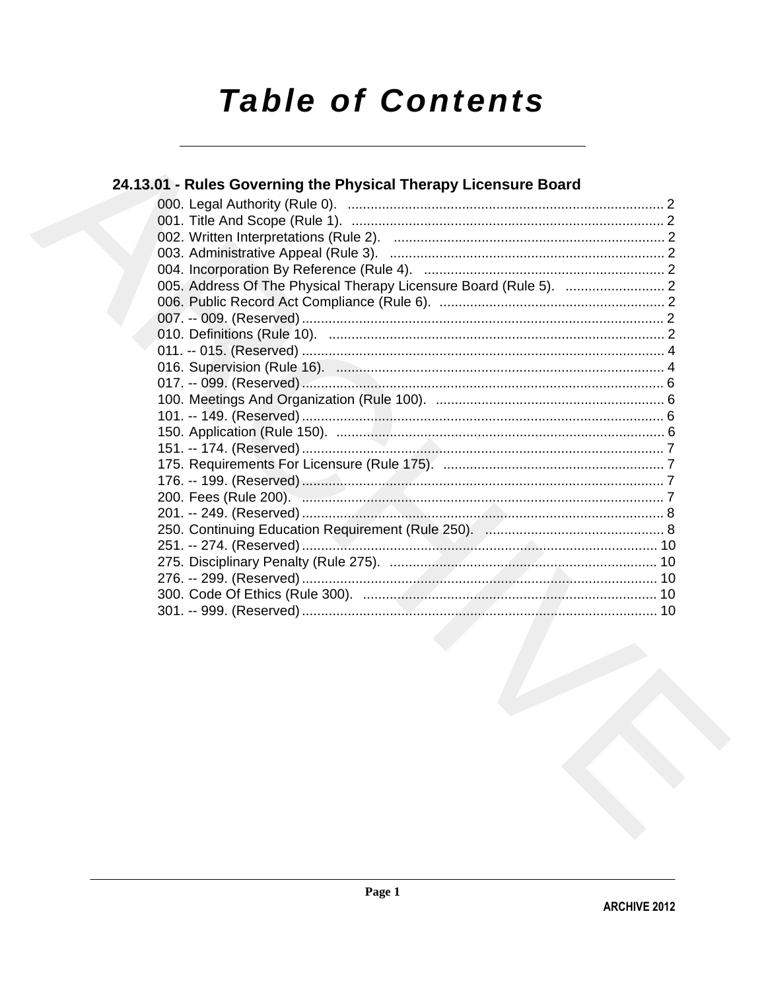# **Table of Contents**

| 24.13.01 - Rules Governing the Physical Therapy Licensure Board |  |
|-----------------------------------------------------------------|--|
|                                                                 |  |
|                                                                 |  |
|                                                                 |  |
|                                                                 |  |
|                                                                 |  |
|                                                                 |  |
|                                                                 |  |
|                                                                 |  |
|                                                                 |  |
|                                                                 |  |
|                                                                 |  |
|                                                                 |  |
|                                                                 |  |
|                                                                 |  |
|                                                                 |  |
|                                                                 |  |
|                                                                 |  |
|                                                                 |  |
|                                                                 |  |
|                                                                 |  |
|                                                                 |  |
|                                                                 |  |
|                                                                 |  |
|                                                                 |  |
|                                                                 |  |
|                                                                 |  |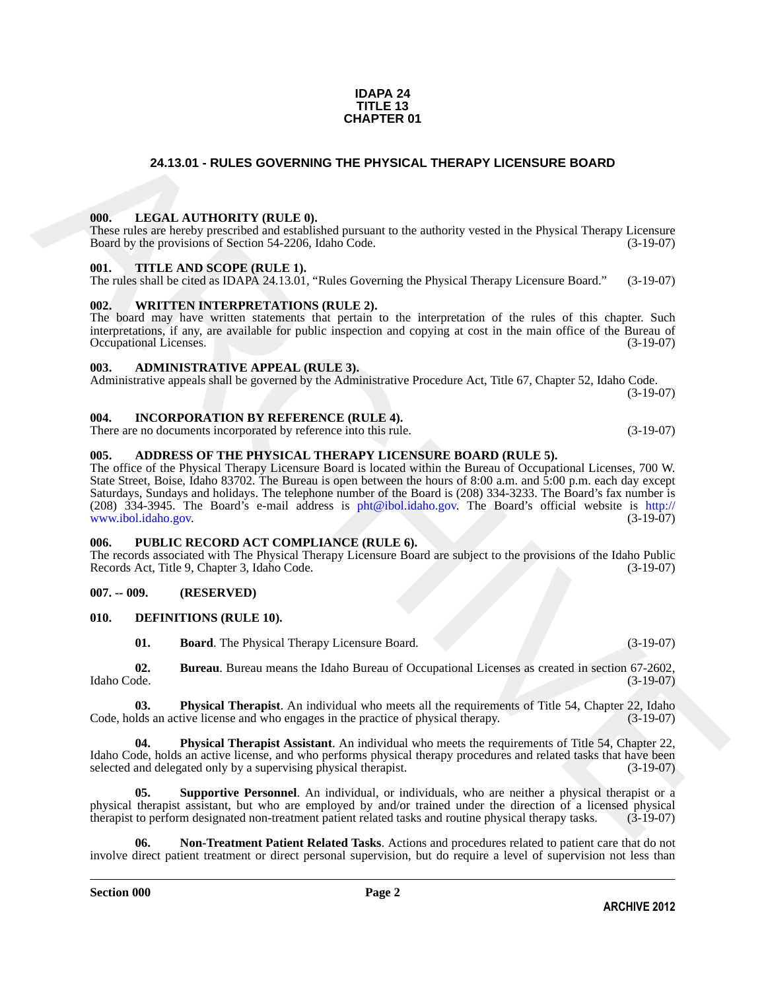#### **IDAPA 24 TITLE 13 CHAPTER 01**

#### **24.13.01 - RULES GOVERNING THE PHYSICAL THERAPY LICENSURE BOARD**

#### <span id="page-1-1"></span><span id="page-1-0"></span>**000. LEGAL AUTHORITY (RULE 0).**

These rules are hereby prescribed and established pursuant to the authority vested in the Physical Therapy Licensure Board by the provisions of Section 54-2206, Idaho Code. (3-19-07)

#### <span id="page-1-2"></span>**001. TITLE AND SCOPE (RULE 1).**

The rules shall be cited as IDAPA 24.13.01, "Rules Governing the Physical Therapy Licensure Board." (3-19-07)

#### <span id="page-1-3"></span>**002. WRITTEN INTERPRETATIONS (RULE 2).**

The board may have written statements that pertain to the interpretation of the rules of this chapter. Such interpretations, if any, are available for public inspection and copying at cost in the main office of the Bureau of Occupational Licenses. (3-19-07) Occupational Licenses.

#### <span id="page-1-4"></span>**003. ADMINISTRATIVE APPEAL (RULE 3).**

Administrative appeals shall be governed by the Administrative Procedure Act, Title 67, Chapter 52, Idaho Code. (3-19-07)

#### <span id="page-1-5"></span>**004. INCORPORATION BY REFERENCE (RULE 4).**

There are no documents incorporated by reference into this rule. (3-19-07)

#### <span id="page-1-6"></span>**005. ADDRESS OF THE PHYSICAL THERAPY LICENSURE BOARD (RULE 5).**

**24.13.01 - RULES GOVERNING THE PHYSICAL THERAPY LICENSURE BOARD<br>
1001.** LEGAL AIRTHORTY (BIT.E.0).<br>
There in the Physical Theorem is the authority version in the Physical Theorem is the System Theorem in the Physical The The office of the Physical Therapy Licensure Board is located within the Bureau of Occupational Licenses, 700 W. State Street, Boise, Idaho 83702. The Bureau is open between the hours of 8:00 a.m. and 5:00 p.m. each day except Saturdays, Sundays and holidays. The telephone number of the Board is (208) 334-3233. The Board's fax number is (208) 334-3945. The Board's e-mail address is pht@ibol.idaho.gov. The Board's official website is http:// www.ibol.idaho.gov. (3-19-07)

#### <span id="page-1-7"></span>**006. PUBLIC RECORD ACT COMPLIANCE (RULE 6).**

The records associated with The Physical Therapy Licensure Board are subject to the provisions of the Idaho Public<br>Records Act. Title 9. Chapter 3. Idaho Code. (3-19-07) Records Act, Title 9, Chapter 3, Idaho Code.

#### <span id="page-1-8"></span>**007. -- 009. (RESERVED)**

#### <span id="page-1-9"></span>**010. DEFINITIONS (RULE 10).**

<span id="page-1-14"></span><span id="page-1-12"></span><span id="page-1-11"></span><span id="page-1-10"></span>**01. Board**. The Physical Therapy Licensure Board. (3-19-07)

**02. Bureau**. Bureau means the Idaho Bureau of Occupational Licenses as created in section 67-2602, Idaho Code. (3-19-07)

**03. Physical Therapist**. An individual who meets all the requirements of Title 54, Chapter 22, Idaho Ids an active license and who engages in the practice of physical therapy. (3-19-07) Code, holds an active license and who engages in the practice of physical therapy.

<span id="page-1-15"></span>**04. Physical Therapist Assistant**. An individual who meets the requirements of Title 54, Chapter 22, Idaho Code, holds an active license, and who performs physical therapy procedures and related tasks that have been selected and delegated only by a supervising physical therapist. (3-19-07) selected and delegated only by a supervising physical therapist.

<span id="page-1-16"></span>**05.** Supportive Personnel. An individual, or individuals, who are neither a physical therapist or a physical therapist assistant, but who are employed by and/or trained under the direction of a licensed physical therapist to perform designated non-treatment patient related tasks and routine physical therapy tasks. (3-19therapist to perform designated non-treatment patient related tasks and routine physical therapy tasks.

<span id="page-1-13"></span>**06. Non-Treatment Patient Related Tasks**. Actions and procedures related to patient care that do not involve direct patient treatment or direct personal supervision, but do require a level of supervision not less than

**Section 000 Page 2**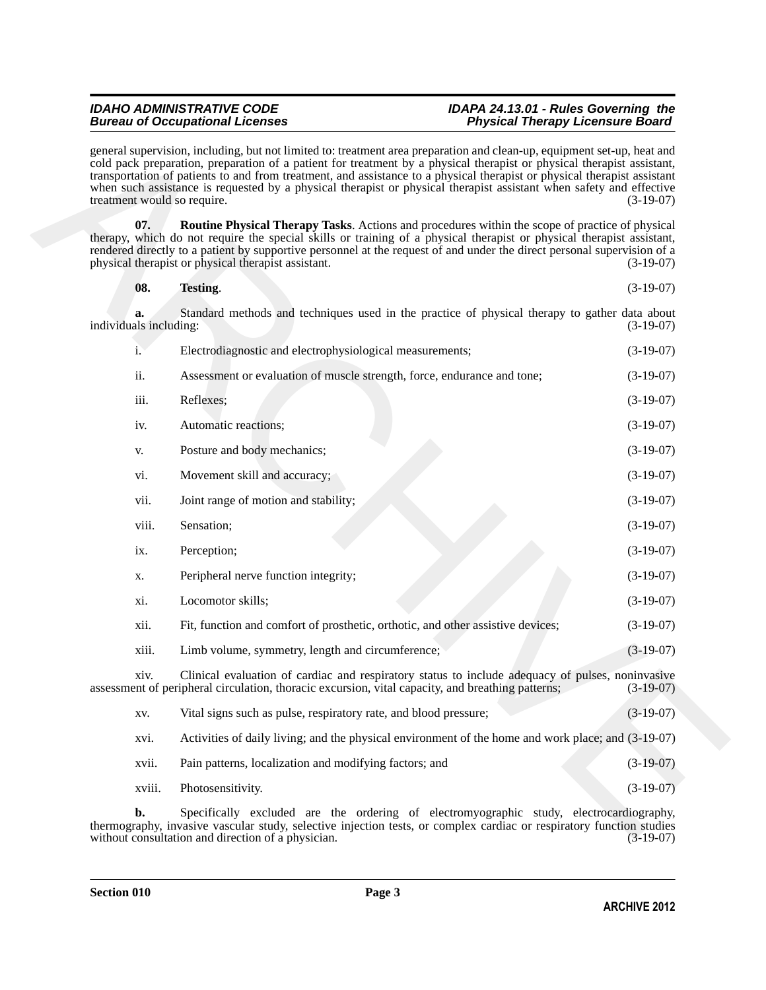#### *IDAHO ADMINISTRATIVE CODE IDAPA 24.13.01 - Rules Governing the* **Physical Therapy Licensure Board**

<span id="page-2-1"></span><span id="page-2-0"></span>

|  |  |  |  |  | $(3-19-07)$ |
|--|--|--|--|--|-------------|
|--|--|--|--|--|-------------|

| treatment would so require.  | when such assistance is requested by a physical therapist or physical therapist assistant when safety and effective                                                                                                                                                                                                                                                                                        | $(3-19-07)$ |
|------------------------------|------------------------------------------------------------------------------------------------------------------------------------------------------------------------------------------------------------------------------------------------------------------------------------------------------------------------------------------------------------------------------------------------------------|-------------|
| 07.                          | Routine Physical Therapy Tasks. Actions and procedures within the scope of practice of physical<br>therapy, which do not require the special skills or training of a physical therapist or physical therapist assistant,<br>rendered directly to a patient by supportive personnel at the request of and under the direct personal supervision of a<br>physical therapist or physical therapist assistant. | $(3-19-07)$ |
| 08.                          | <b>Testing.</b>                                                                                                                                                                                                                                                                                                                                                                                            | $(3-19-07)$ |
| a.<br>individuals including: | Standard methods and techniques used in the practice of physical therapy to gather data about                                                                                                                                                                                                                                                                                                              | $(3-19-07)$ |
| $\ddot{i}$ .                 | Electrodiagnostic and electrophysiological measurements;                                                                                                                                                                                                                                                                                                                                                   | $(3-19-07)$ |
| ii.                          | Assessment or evaluation of muscle strength, force, endurance and tone;                                                                                                                                                                                                                                                                                                                                    | $(3-19-07)$ |
| iii.                         | Reflexes;                                                                                                                                                                                                                                                                                                                                                                                                  | $(3-19-07)$ |
| iv.                          | Automatic reactions;                                                                                                                                                                                                                                                                                                                                                                                       | $(3-19-07)$ |
| V.                           | Posture and body mechanics;                                                                                                                                                                                                                                                                                                                                                                                | $(3-19-07)$ |
| vi.                          | Movement skill and accuracy;                                                                                                                                                                                                                                                                                                                                                                               | $(3-19-07)$ |
| vii.                         | Joint range of motion and stability;                                                                                                                                                                                                                                                                                                                                                                       | $(3-19-07)$ |
| viii.                        | Sensation;                                                                                                                                                                                                                                                                                                                                                                                                 | $(3-19-07)$ |
| ix.                          | Perception;                                                                                                                                                                                                                                                                                                                                                                                                | $(3-19-07)$ |
| X.                           | Peripheral nerve function integrity;                                                                                                                                                                                                                                                                                                                                                                       | $(3-19-07)$ |
| xi.                          | Locomotor skills;                                                                                                                                                                                                                                                                                                                                                                                          | $(3-19-07)$ |
| xii.                         | Fit, function and comfort of prosthetic, orthotic, and other assistive devices;                                                                                                                                                                                                                                                                                                                            | $(3-19-07)$ |
| xiii.                        | Limb volume, symmetry, length and circumference;                                                                                                                                                                                                                                                                                                                                                           | $(3-19-07)$ |
| xiv.                         | Clinical evaluation of cardiac and respiratory status to include adequacy of pulses, noninvasive<br>assessment of peripheral circulation, thoracic excursion, vital capacity, and breathing patterns;                                                                                                                                                                                                      | $(3-19-07)$ |
| XV.                          | Vital signs such as pulse, respiratory rate, and blood pressure;                                                                                                                                                                                                                                                                                                                                           | $(3-19-07)$ |
| XVI.                         | Activities of daily living; and the physical environment of the home and work place; and (3-19-07)                                                                                                                                                                                                                                                                                                         |             |
| xvii.                        | Pain patterns, localization and modifying factors; and                                                                                                                                                                                                                                                                                                                                                     | $(3-19-07)$ |
| xviii.                       | Photosensitivity.                                                                                                                                                                                                                                                                                                                                                                                          | $(3-19-07)$ |

**b.** Specifically excluded are the ordering of electromyographic study, electrocardiography, thermography, invasive vascular study, selective injection tests, or complex cardiac or respiratory function studies without consultation and direction of a physician. (3-19-07) without consultation and direction of a physician.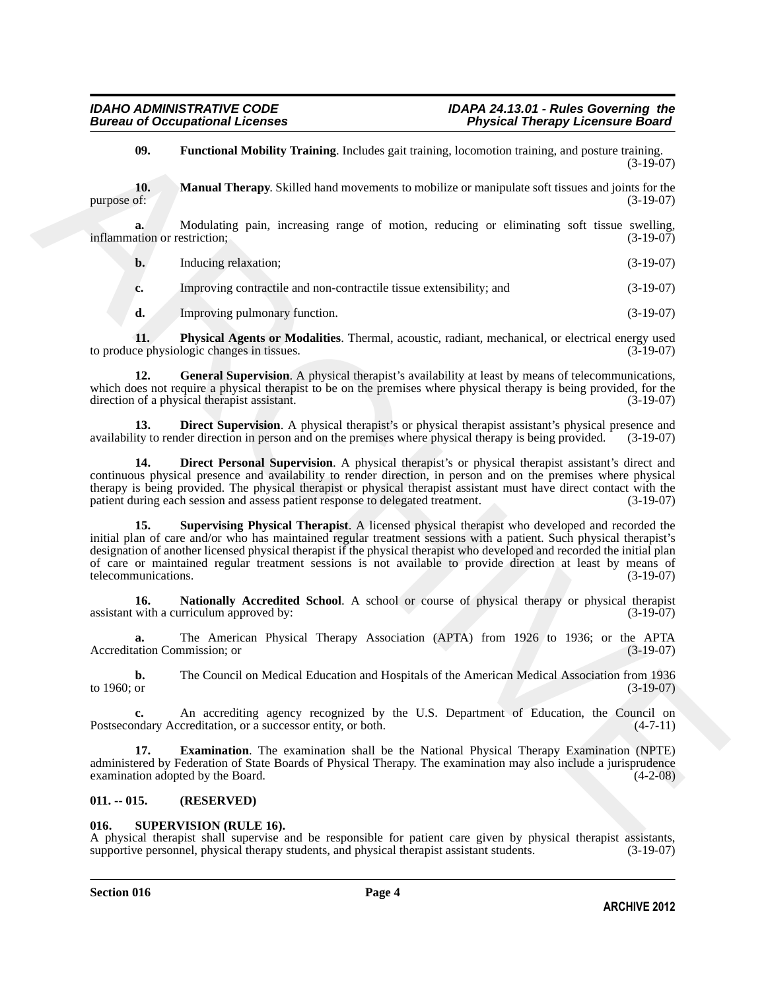<span id="page-3-7"></span><span id="page-3-5"></span>**09. Functional Mobility Training**. Includes gait training, locomotion training, and posture training.  $(3-19-07)$ 

**10. Manual Therapy**. Skilled hand movements to mobilize or manipulate soft tissues and joints for the purpose of:  $(3-19-07)$ 

**a.** Modulating pain, increasing range of motion, reducing or eliminating soft tissue swelling, (3-19-07) inflammation or restriction;

| $\mathbf{b}$ . | Inducing relaxation; | $(3-19-07)$ |
|----------------|----------------------|-------------|
|----------------|----------------------|-------------|

**c.** Improving contractile and non-contractile tissue extensibility; and  $(3-19-07)$ 

<span id="page-3-9"></span><span id="page-3-6"></span>**d.** Improving pulmonary function. (3-19-07)

**11. Physical Agents or Modalities**. Thermal, acoustic, radiant, mechanical, or electrical energy used ce physiologic changes in tissues. (3-19-07) to produce physiologic changes in tissues.

**12. General Supervision**. A physical therapist's availability at least by means of telecommunications, which does not require a physical therapist to be on the premises where physical therapy is being provided, for the direction of a physical therapist assistant. (3-19-07)

<span id="page-3-3"></span>**13. Direct Supervision**. A physical therapist's or physical therapist assistant's physical presence and ity to render direction in person and on the premises where physical therapy is being provided. (3-19-07) availability to render direction in person and on the premises where physical therapy is being provided.

<span id="page-3-10"></span><span id="page-3-2"></span>**14. Direct Personal Supervision**. A physical therapist's or physical therapist assistant's direct and continuous physical presence and availability to render direction, in person and on the premises where physical therapy is being provided. The physical therapist or physical therapist assistant must have direct contact with the patient during each session and assess patient response to delegated treatment. (3-19-07) patient during each session and assess patient response to delegated treatment.

**99.** Functional Mobility Turbinity Includes pair training, becomes rating, and peatus  $(314)$ <br>
1993. Manual Therapy, Skilled band noweacens to mobilize or manipulars soft tissues and joints for the<br>
perpendix of Manual T **15. Supervising Physical Therapist**. A licensed physical therapist who developed and recorded the initial plan of care and/or who has maintained regular treatment sessions with a patient. Such physical therapist's designation of another licensed physical therapist if the physical therapist who developed and recorded the initial plan of care or maintained regular treatment sessions is not available to provide direction at least by means of telecommunications. (3-19-07) telecommunications.

<span id="page-3-8"></span>**16. Nationally Accredited School**. A school or course of physical therapy or physical therapist with a curriculum approved by:  $(3-19-07)$ assistant with a curriculum approved by:

**a.** The American Physical Therapy Association (APTA) from 1926 to 1936; or the APTA ation Commission: or (3-19-07) Accreditation Commission; or

**b.** The Council on Medical Education and Hospitals of the American Medical Association from 1936 to 1960; or (3-19-07) to 1960; or  $(3-19-07)$ 

**c.** An accrediting agency recognized by the U.S. Department of Education, the Council on ndary Accreditation, or a successor entity or both.  $(4-7-11)$ Postsecondary Accreditation, or a successor entity, or both.

<span id="page-3-4"></span>**17. Examination**. The examination shall be the National Physical Therapy Examination (NPTE) administered by Federation of State Boards of Physical Therapy. The examination may also include a jurisprudence examination adopted by the Board.

#### <span id="page-3-0"></span>**011. -- 015. (RESERVED)**

#### <span id="page-3-11"></span><span id="page-3-1"></span>**016. SUPERVISION (RULE 16).**

A physical therapist shall supervise and be responsible for patient care given by physical therapist assistants, supportive personnel, physical therapy students, and physical therapist assistant students. (3-19-07) supportive personnel, physical therapy students, and physical therapist assistant students.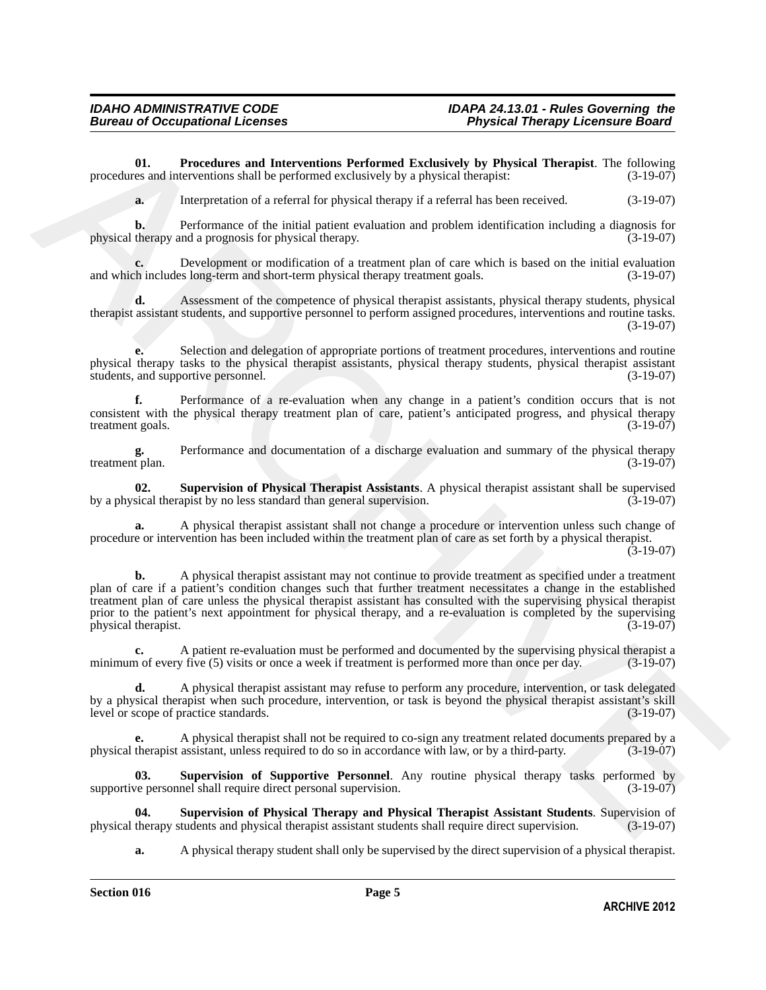**01.** Procedures and Interventions Performed Exclusively by Physical Therapist. The following res and interventions shall be performed exclusively by a physical therapist: (3-19-07) procedures and interventions shall be performed exclusively by a physical therapist:

<span id="page-4-0"></span>**a.** Interpretation of a referral for physical therapy if a referral has been received. (3-19-07)

**b.** Performance of the initial patient evaluation and problem identification including a diagnosis for physical therapy and a prognosis for physical therapy. (3-19-07)

**c.** Development or modification of a treatment plan of care which is based on the initial evaluation and which includes long-term and short-term physical therapy treatment goals. (3-19-07)

**d.** Assessment of the competence of physical therapist assistants, physical therapy students, physical therapist assistant students, and supportive personnel to perform assigned procedures, interventions and routine tasks. (3-19-07)

**e.** Selection and delegation of appropriate portions of treatment procedures, interventions and routine physical therapy tasks to the physical therapist assistants, physical therapy students, physical therapist assistant students, and supportive personnel. (3-19-07)

**f.** Performance of a re-evaluation when any change in a patient's condition occurs that is not consistent with the physical therapy treatment plan of care, patient's anticipated progress, and physical therapy treatment goals.

**g.** Performance and documentation of a discharge evaluation and summary of the physical therapy t plan.  $(3-19-07)$ treatment plan.

<span id="page-4-1"></span>**02.** Supervision of Physical Therapist Assistants. A physical therapist assistant shall be supervised sical therapist by no less standard than general supervision. (3-19-07) by a physical therapist by no less standard than general supervision.

**a.** A physical therapist assistant shall not change a procedure or intervention unless such change of procedure or intervention has been included within the treatment plan of care as set forth by a physical therapist. (3-19-07)

**THE CONDUCT CONDUCT AND INTERFERIOR CONTINUEST (SECURITE THE CONTINUEST (SECURITE THE CONDUCT CONDUCT (SECURITE AND INTERFERIOR CONDUCT (SECURITE AND INTERFERIOR CONDUCT (SECURITE AND INTERFERIOR CONDUCT CONDUCT (SECURIT b.** A physical therapist assistant may not continue to provide treatment as specified under a treatment plan of care if a patient's condition changes such that further treatment necessitates a change in the established treatment plan of care unless the physical therapist assistant has consulted with the supervising physical therapist prior to the patient's next appointment for physical therapy, and a re-evaluation is completed by the supervising physical therapist. (3-19-07)

**c.** A patient re-evaluation must be performed and documented by the supervising physical therapist a minimum of every five (5) visits or once a week if treatment is performed more than once per day. (3-19-07)

**d.** A physical therapist assistant may refuse to perform any procedure, intervention, or task delegated by a physical therapist when such procedure, intervention, or task is beyond the physical therapist assistant's skill level or scope of practice standards.

A physical therapist shall not be required to co-sign any treatment related documents prepared by a assistant, unless required to do so in accordance with law, or by a third-party. (3-19-07) physical therapist assistant, unless required to do so in accordance with law, or by a third-party. (3-19-07)

<span id="page-4-3"></span>**03. Supervision of Supportive Personnel**. Any routine physical therapy tasks performed by supportive personnel shall require direct personal supervision. (3-19-07)

**04.** Supervision of Physical Therapy and Physical Therapist Assistant Students. Supervision of therapy students and physical therapist assistant students shall require direct supervision. (3-19-07) physical therapy students and physical therapist assistant students shall require direct supervision.

<span id="page-4-2"></span>**a.** A physical therapy student shall only be supervised by the direct supervision of a physical therapist.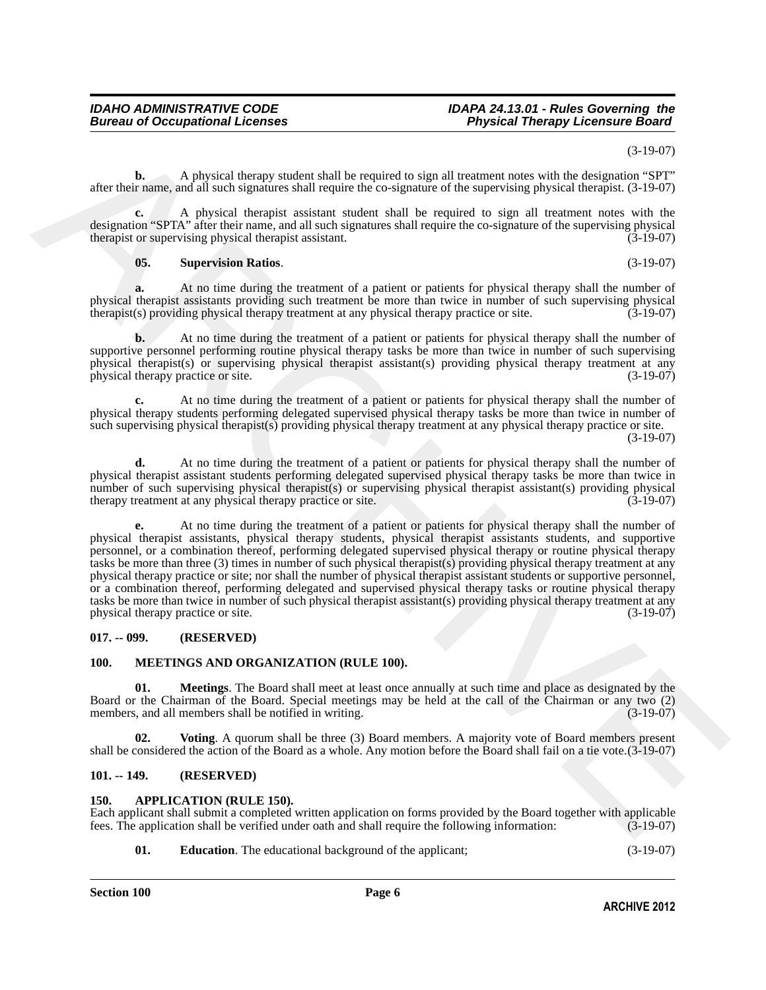#### *IDAHO ADMINISTRATIVE CODE IDAPA 24.13.01 - Rules Governing the* **Physical Therapy Licensure Board**

(3-19-07)

**b.** A physical therapy student shall be required to sign all treatment notes with the designation "SPT" after their name, and all such signatures shall require the co-signature of the supervising physical therapist. (3-19-07)

**c.** A physical therapist assistant student shall be required to sign all treatment notes with the designation "SPTA" after their name, and all such signatures shall require the co-signature of the supervising physical therapist or supervising physical therapist assistant. (3-19-07)

#### <span id="page-5-9"></span>**05. Supervision Ratios**. (3-19-07)

**a.** At no time during the treatment of a patient or patients for physical therapy shall the number of physical therapist assistants providing such treatment be more than twice in number of such supervising physical therapist(s) providing physical therapy treatment at any physical therapy practice or site. (3-19-07) therapist(s) providing physical therapy treatment at any physical therapy practice or site.

**b.** At no time during the treatment of a patient or patients for physical therapy shall the number of supportive personnel performing routine physical therapy tasks be more than twice in number of such supervising physical therapist(s) or supervising physical therapist assistant(s) providing physical therapy treatment at any physical therapy practice or site. (3-19-07)

**c.** At no time during the treatment of a patient or patients for physical therapy shall the number of physical therapy students performing delegated supervised physical therapy tasks be more than twice in number of such supervising physical therapist(s) providing physical therapy treatment at any physical therapy practice or site.

(3-19-07)

**d.** At no time during the treatment of a patient or patients for physical therapy shall the number of physical therapist assistant students performing delegated supervised physical therapy tasks be more than twice in number of such supervising physical therapist(s) or supervising physical therapist assistant(s) providing physical therapy treatment at any physical therapy practice or site. (3-19-07) therapy treatment at any physical therapy practice or site.

(5.19.00)<br>
A physical decay valent dail be required to signal restore twist with the length of the specific of the specific of the specific of the specific of the specific of the specific of the specific of the specific o **e.** At no time during the treatment of a patient or patients for physical therapy shall the number of physical therapist assistants, physical therapy students, physical therapist assistants students, and supportive personnel, or a combination thereof, performing delegated supervised physical therapy or routine physical therapy tasks be more than three (3) times in number of such physical therapist(s) providing physical therapy treatment at any physical therapy practice or site; nor shall the number of physical therapist assistant students or supportive personnel, or a combination thereof, performing delegated and supervised physical therapy tasks or routine physical therapy tasks be more than twice in number of such physical therapist assistant(s) providing physical therapy treatment at any<br>(3-19-07) physical therapy practice or site. physical therapy practice or site.

#### <span id="page-5-0"></span>**017. -- 099. (RESERVED)**

#### <span id="page-5-7"></span><span id="page-5-6"></span><span id="page-5-1"></span>**100. MEETINGS AND ORGANIZATION (RULE 100).**

**01. Meetings**. The Board shall meet at least once annually at such time and place as designated by the Board or the Chairman of the Board. Special meetings may be held at the call of the Chairman or any two (2) members, and all members shall be notified in writing.

<span id="page-5-8"></span>**Voting**. A quorum shall be three (3) Board members. A majority vote of Board members present shall be considered the action of the Board as a whole. Any motion before the Board shall fail on a tie vote.(3-19-07)

#### <span id="page-5-2"></span>**101. -- 149. (RESERVED)**

#### <span id="page-5-4"></span><span id="page-5-3"></span>**150. APPLICATION (RULE 150).**

Each applicant shall submit a completed written application on forms provided by the Board together with applicable fees. The application shall be verified under oath and shall require the following information: (3-19-07) fees. The application shall be verified under oath and shall require the following information:

<span id="page-5-5"></span>**01. Education**. The educational background of the applicant; (3-19-07)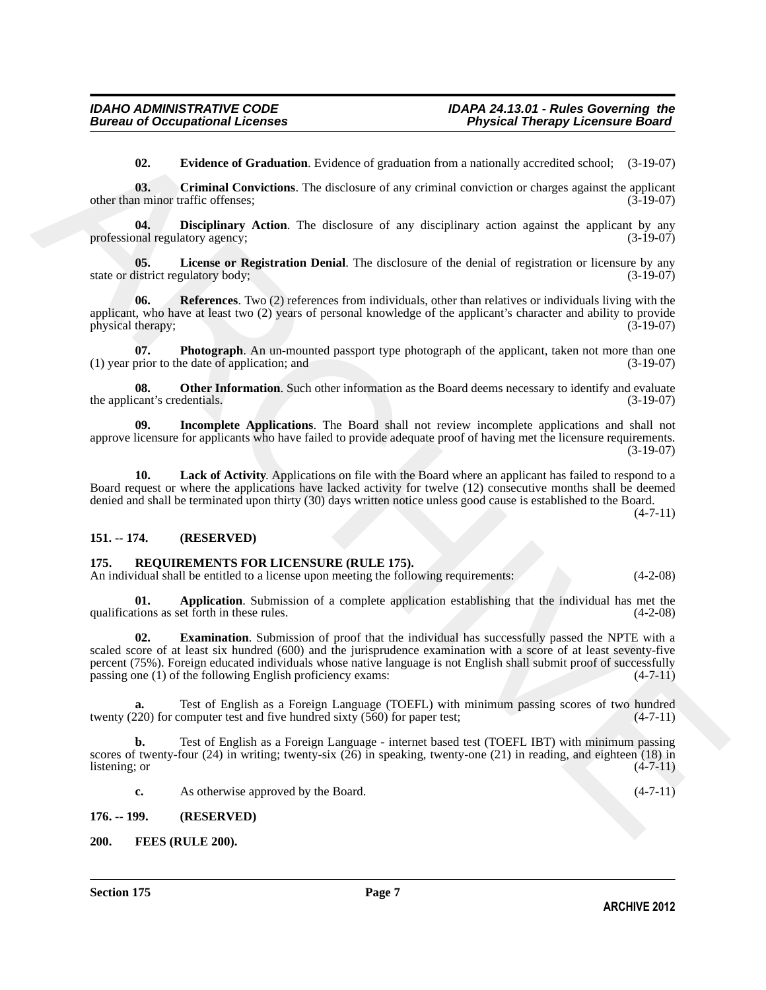<span id="page-6-6"></span><span id="page-6-5"></span><span id="page-6-4"></span>**02. Evidence of Graduation**. Evidence of graduation from a nationally accredited school; (3-19-07)

**03.** Criminal Convictions. The disclosure of any criminal conviction or charges against the applicant n minor traffic offenses; (3-19-07) other than minor traffic offenses;

**04. Disciplinary Action**. The disclosure of any disciplinary action against the applicant by any nal regulatory agency:  $(3-19-07)$ professional regulatory agency;

<span id="page-6-9"></span>**05. License or Registration Denial**. The disclosure of the denial of registration or licensure by any listrict regulatory body; (3-19-07) state or district regulatory body;

<span id="page-6-12"></span>**06.** References. Two (2) references from individuals, other than relatives or individuals living with the applicant, who have at least two (2) years of personal knowledge of the applicant's character and ability to provide physical therapy; (3-19-07) (3-19-07)

<span id="page-6-11"></span>**07. Photograph**. An un-mounted passport type photograph of the applicant, taken not more than one prior to the date of application; and (3-19-07)  $(1)$  year prior to the date of application; and

<span id="page-6-10"></span>**08. Other Information**. Such other information as the Board deems necessary to identify and evaluate cant's credentials. (3-19-07) the applicant's credentials.

<span id="page-6-7"></span>**09. Incomplete Applications**. The Board shall not review incomplete applications and shall not approve licensure for applicants who have failed to provide adequate proof of having met the licensure requirements. (3-19-07)

<span id="page-6-8"></span>**10. Lack of Activity**. Applications on file with the Board where an applicant has failed to respond to a Board request or where the applications have lacked activity for twelve (12) consecutive months shall be deemed denied and shall be terminated upon thirty (30) days written notice unless good cause is established to the Board.

 $(4 - 7 - 11)$ 

#### <span id="page-6-0"></span>**151. -- 174. (RESERVED)**

#### <span id="page-6-14"></span><span id="page-6-1"></span>**175. REQUIREMENTS FOR LICENSURE (RULE 175).**

An individual shall be entitled to a license upon meeting the following requirements:  $(4-2-08)$ 

<span id="page-6-16"></span><span id="page-6-15"></span>**01. Application**. Submission of a complete application establishing that the individual has met the tions as set forth in these rules. (4-2-08) qualifications as set forth in these rules.

**10.** Fortherm of Graduation, Evidence of graduation from a rationally assembled edon? (1.19.10)<br> **(3.2)** Cytombal Convictions, The disclosure of any constant conviction or data estatistic education<br>
or the minimum of the **02. Examination**. Submission of proof that the individual has successfully passed the NPTE with a scaled score of at least six hundred (600) and the jurisprudence examination with a score of at least seventy-five percent (75%). Foreign educated individuals whose native language is not English shall submit proof of successfully passing one (1) of the following English proficiency exams: (4-7-11)

Test of English as a Foreign Language (TOEFL) with minimum passing scores of two hundred computer test and five hundred sixty (560) for paper test; (4-7-11) twenty  $(220)$  for computer test and five hundred sixty  $(560)$  for paper test;

**b.** Test of English as a Foreign Language - internet based test (TOEFL IBT) with minimum passing scores of twenty-four (24) in writing; twenty-six (26) in speaking, twenty-one (21) in reading, and eighteen (18) in listening; or  $(4-7-11)$ listening; or  $(4-7-11)$ 

<span id="page-6-13"></span>**c.** As otherwise approved by the Board. (4-7-11)

<span id="page-6-2"></span>**176. -- 199. (RESERVED)**

<span id="page-6-3"></span>**200. FEES (RULE 200).**

**Section 175 Page 7**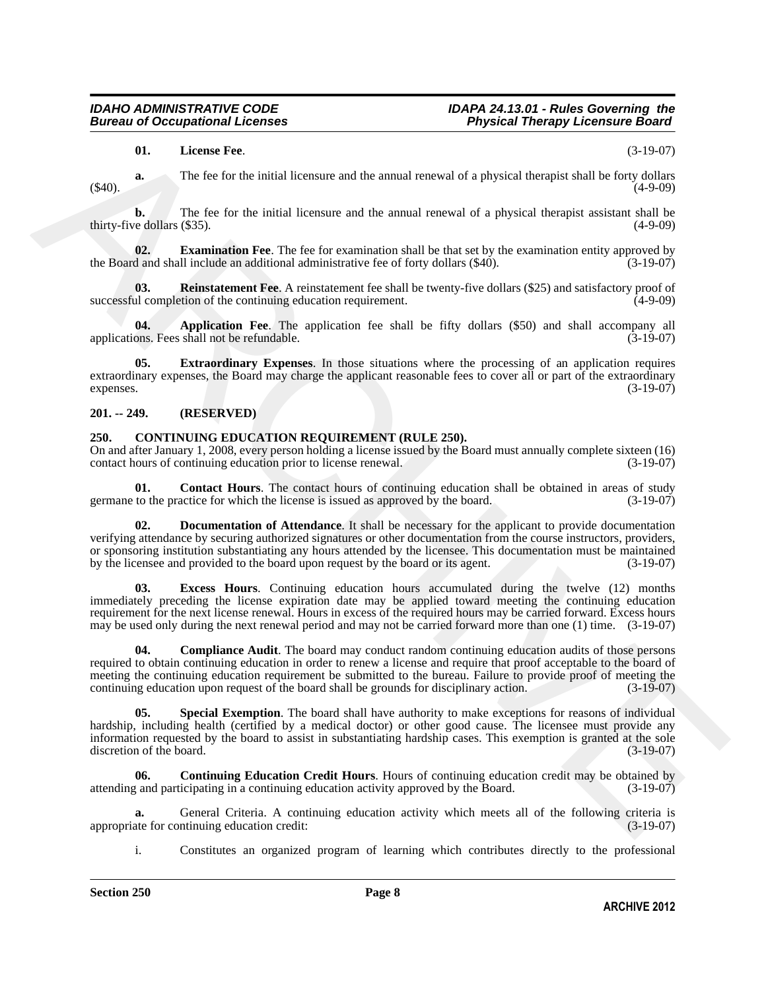#### <span id="page-7-12"></span>**01. License Fee**. (3-19-07)

**a.** The fee for the initial licensure and the annual renewal of a physical therapist shall be forty dollars (\$40). (4-9-09)

**b.** The fee for the initial licensure and the annual renewal of a physical therapist assistant shall be redollars (\$35). (4-9-09) thirty-five dollars  $(\$35)$ .

<span id="page-7-10"></span>**02. Examination Fee**. The fee for examination shall be that set by the examination entity approved by the Board and shall include an additional administrative fee of forty dollars (\$40). (3-19-07)

<span id="page-7-13"></span>**03.** Reinstatement Fee. A reinstatement fee shall be twenty-five dollars (\$25) and satisfactory proof of ul completion of the continuing education requirement. successful completion of the continuing education requirement.

<span id="page-7-9"></span>**04. Application Fee**. The application fee shall be fifty dollars (\$50) and shall accompany all ons. Fees shall not be refundable. (3-19-07) applications. Fees shall not be refundable.

<span id="page-7-11"></span>**05. Extraordinary Expenses**. In those situations where the processing of an application requires extraordinary expenses, the Board may charge the applicant reasonable fees to cover all or part of the extraordinary expenses.  $(3-19-07)$ 

#### <span id="page-7-0"></span>**201. -- 249. (RESERVED)**

#### <span id="page-7-2"></span><span id="page-7-1"></span>**250. CONTINUING EDUCATION REQUIREMENT (RULE 250).**

On and after January 1, 2008, every person holding a license issued by the Board must annually complete sixteen (16) contact hours of continuing education prior to license renewal.

<span id="page-7-4"></span>**01. Contact Hours**. The contact hours of continuing education shall be obtained in areas of study to the practice for which the license is issued as approved by the board. (3-19-07) germane to the practice for which the license is issued as approved by the board.

<span id="page-7-6"></span>**02. Documentation of Attendance**. It shall be necessary for the applicant to provide documentation verifying attendance by securing authorized signatures or other documentation from the course instructors, providers, or sponsoring institution substantiating any hours attended by the licensee. This documentation must be maintained by the licensee and provided to the board upon request by the board or its agent. (3-19-07)

<span id="page-7-7"></span>**03. Excess Hours**. Continuing education hours accumulated during the twelve (12) months immediately preceding the license expiration date may be applied toward meeting the continuing education requirement for the next license renewal. Hours in excess of the required hours may be carried forward. Excess hours may be used only during the next renewal period and may not be carried forward more than one (1) time. (3-19-07)

<span id="page-7-8"></span><span id="page-7-3"></span>**04. Compliance Audit**. The board may conduct random continuing education audits of those persons required to obtain continuing education in order to renew a license and require that proof acceptable to the board of meeting the continuing education requirement be submitted to the bureau. Failure to provide proof of meeting the continuing education upon request of the board shall be grounds for disciplinary action. (3-19-07) continuing education upon request of the board shall be grounds for disciplinary action.

0.1. However Free,<br>
16. There for the initial licensum and the annual sensoral of a physical decay<br>in the formula matrix of the formula matrix and the matrix and a physical decay<br>interview (4.460)<br>
this y-law dollars (355 **05. Special Exemption**. The board shall have authority to make exceptions for reasons of individual hardship, including health (certified by a medical doctor) or other good cause. The licensee must provide any information requested by the board to assist in substantiating hardship cases. This exemption is granted at the sole discretion of the board.

<span id="page-7-5"></span>**06. Continuing Education Credit Hours**. Hours of continuing education credit may be obtained by attending and participating in a continuing education activity approved by the Board. (3-19-07)

**a.** General Criteria. A continuing education activity which meets all of the following criteria is the for continuing education credit:  $(3-19-07)$ appropriate for continuing education credit:

i. Constitutes an organized program of learning which contributes directly to the professional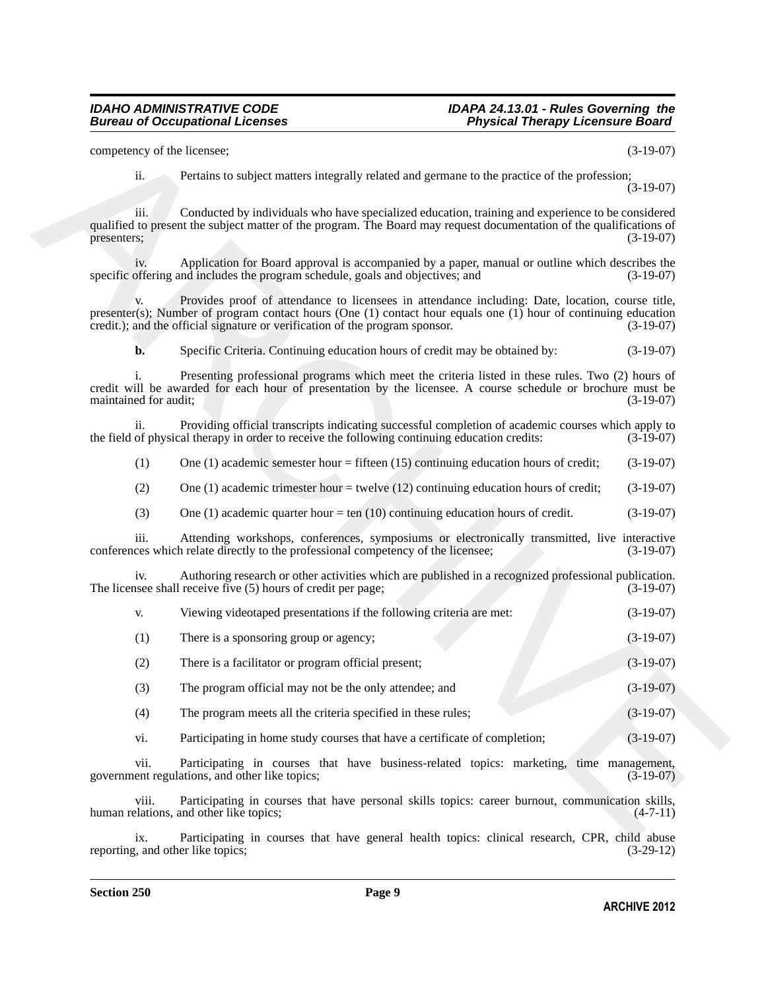| competency of the licensee; |                                                                                                                                                                                                                                                                                                         | $(3-19-07)$ |
|-----------------------------|---------------------------------------------------------------------------------------------------------------------------------------------------------------------------------------------------------------------------------------------------------------------------------------------------------|-------------|
| ii.                         | Pertains to subject matters integrally related and germane to the practice of the profession;                                                                                                                                                                                                           | $(3-19-07)$ |
| iii.<br>presenters;         | Conducted by individuals who have specialized education, training and experience to be considered<br>qualified to present the subject matter of the program. The Board may request documentation of the qualifications of                                                                               | $(3-19-07)$ |
| iv.                         | Application for Board approval is accompanied by a paper, manual or outline which describes the<br>specific offering and includes the program schedule, goals and objectives; and                                                                                                                       | $(3-19-07)$ |
| V.                          | Provides proof of attendance to licensees in attendance including: Date, location, course title,<br>presenter(s); Number of program contact hours (One $(1)$ contact hour equals one $(1)$ hour of continuing education<br>credit.); and the official signature or verification of the program sponsor. | $(3-19-07)$ |
| $b$ .                       | Specific Criteria. Continuing education hours of credit may be obtained by:                                                                                                                                                                                                                             | $(3-19-07)$ |
| maintained for audit;       | Presenting professional programs which meet the criteria listed in these rules. Two (2) hours of<br>credit will be awarded for each hour of presentation by the licensee. A course schedule or brochure must be                                                                                         | $(3-19-07)$ |
| ii.                         | Providing official transcripts indicating successful completion of academic courses which apply to<br>the field of physical therapy in order to receive the following continuing education credits:                                                                                                     | $(3-19-07)$ |
| (1)                         | One $(1)$ academic semester hour = fifteen $(15)$ continuing education hours of credit;                                                                                                                                                                                                                 | $(3-19-07)$ |
| (2)                         | One $(1)$ academic trimester hour = twelve $(12)$ continuing education hours of credit;                                                                                                                                                                                                                 | $(3-19-07)$ |
| (3)                         | One (1) academic quarter hour = ten (10) continuing education hours of credit.                                                                                                                                                                                                                          | $(3-19-07)$ |
| <i>iii.</i>                 | Attending workshops, conferences, symposiums or electronically transmitted, live interactive<br>conferences which relate directly to the professional competency of the licensee;                                                                                                                       | $(3-19-07)$ |
| iv.                         | Authoring research or other activities which are published in a recognized professional publication.<br>The licensee shall receive five (5) hours of credit per page;                                                                                                                                   | $(3-19-07)$ |
| V.                          | Viewing videotaped presentations if the following criteria are met:                                                                                                                                                                                                                                     | $(3-19-07)$ |
| (1)                         | There is a sponsoring group or agency;                                                                                                                                                                                                                                                                  | $(3-19-07)$ |
| (2)                         | There is a facilitator or program official present;                                                                                                                                                                                                                                                     | $(3-19-07)$ |
| (3)                         | The program official may not be the only attendee; and                                                                                                                                                                                                                                                  | $(3-19-07)$ |
| (4)                         | The program meets all the criteria specified in these rules;                                                                                                                                                                                                                                            | $(3-19-07)$ |
| vi.                         | Participating in home study courses that have a certificate of completion;                                                                                                                                                                                                                              | $(3-19-07)$ |
| vii.                        | Participating in courses that have business-related topics: marketing, time management,<br>government regulations, and other like topics;                                                                                                                                                               | $(3-19-07)$ |
| viii.                       | Participating in courses that have personal skills topics: career burnout, communication skills,<br>human relations, and other like topics;                                                                                                                                                             | $(4-7-11)$  |
| ix                          | Participating in courses that have general health topics: clinical research CPR child abuse                                                                                                                                                                                                             |             |

ix. Participating in courses that have general health topics: clinical research, CPR, child abuse  $\mu$ , and other like topics; (3-29-12) reporting, and other like topics;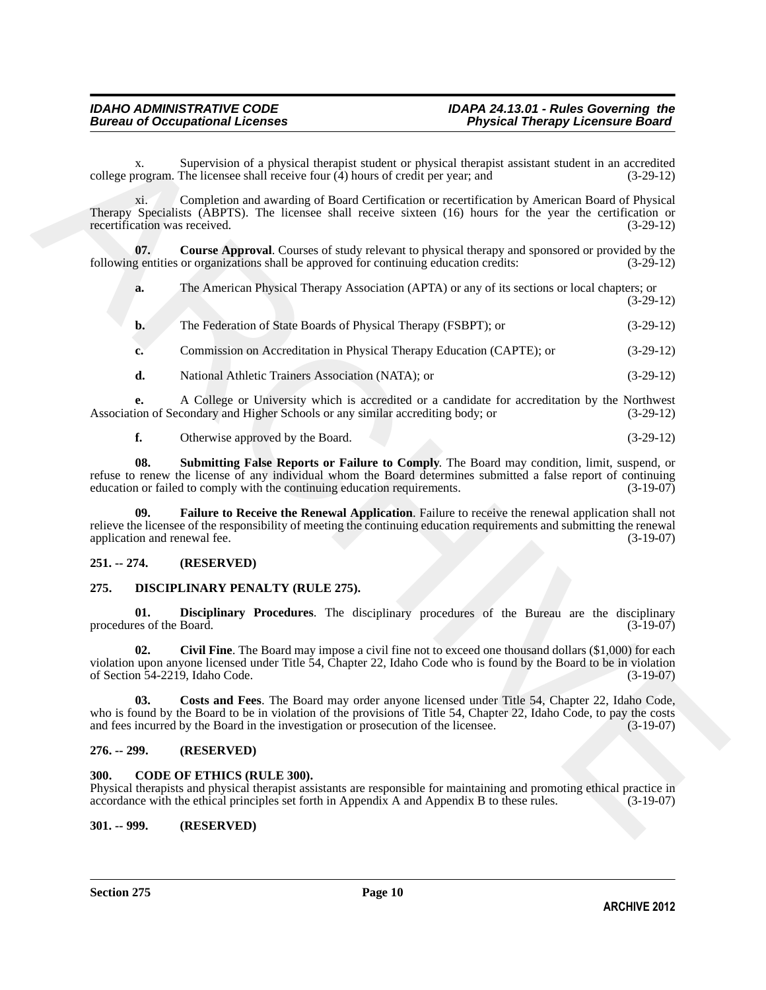## <span id="page-9-6"></span>**Bureau of Occupational Licenses**

|               | х.                              | Supervision of a physical therapist student or physical therapist assistant student in an accredited<br>college program. The licensee shall receive four $(4)$ hours of credit per year; and                                                                                                               | $(3-29-12)$                                              |
|---------------|---------------------------------|------------------------------------------------------------------------------------------------------------------------------------------------------------------------------------------------------------------------------------------------------------------------------------------------------------|----------------------------------------------------------|
|               | xi.                             | Completion and awarding of Board Certification or recertification by American Board of Physical<br>Therapy Specialists (ABPTS). The licensee shall receive sixteen (16) hours for the year the certification or<br>recertification was received.                                                           | $(3-29-12)$                                              |
|               | 07.                             | <b>Course Approval.</b> Courses of study relevant to physical therapy and sponsored or provided by the<br>following entities or organizations shall be approved for continuing education credits:                                                                                                          | $(3-29-12)$                                              |
|               | a.                              | The American Physical Therapy Association (APTA) or any of its sections or local chapters; or                                                                                                                                                                                                              | $(3-29-12)$                                              |
|               | b.                              | The Federation of State Boards of Physical Therapy (FSBPT); or                                                                                                                                                                                                                                             | $(3-29-12)$                                              |
|               | c.                              | Commission on Accreditation in Physical Therapy Education (CAPTE); or                                                                                                                                                                                                                                      | $(3-29-12)$                                              |
|               | d.                              | National Athletic Trainers Association (NATA); or                                                                                                                                                                                                                                                          | $(3-29-12)$                                              |
|               | е.                              | A College or University which is accredited or a candidate for accreditation by the Northwest<br>Association of Secondary and Higher Schools or any similar accrediting body; or                                                                                                                           | $(3-29-12)$                                              |
|               | f.                              | Otherwise approved by the Board.                                                                                                                                                                                                                                                                           | $(3-29-12)$                                              |
|               | 08.                             | Submitting False Reports or Failure to Comply. The Board may condition, limit, suspend, or<br>refuse to renew the license of any individual whom the Board determines submitted a false report of continuing<br>education or failed to comply with the continuing education requirements.                  | $(3-19-07)$                                              |
|               | 09.                             | Failure to Receive the Renewal Application. Failure to receive the renewal application shall not<br>relieve the licensee of the responsibility of meeting the continuing education requirements and submitting the renewal                                                                                 |                                                          |
|               |                                 | application and renewal fee.                                                                                                                                                                                                                                                                               |                                                          |
| $251. - 274.$ |                                 | (RESERVED)                                                                                                                                                                                                                                                                                                 |                                                          |
| 275.          |                                 | DISCIPLINARY PENALTY (RULE 275).                                                                                                                                                                                                                                                                           |                                                          |
|               | 01.<br>procedures of the Board. | Disciplinary Procedures. The disciplinary procedures of the Bureau are the disciplinary                                                                                                                                                                                                                    |                                                          |
|               | 02.                             | Civil Fine. The Board may impose a civil fine not to exceed one thousand dollars (\$1,000) for each<br>violation upon anyone licensed under Title 54, Chapter 22, Idaho Code who is found by the Board to be in violation<br>of Section 54-2219, Idaho Code.                                               |                                                          |
|               | 03.                             | Costs and Fees. The Board may order anyone licensed under Title 54, Chapter 22, Idaho Code,<br>who is found by the Board to be in violation of the provisions of Title 54, Chapter 22, Idaho Code, to pay the costs<br>and fees incurred by the Board in the investigation or prosecution of the licensee. | $(3-19-07)$<br>$(3-19-07)$<br>$(3-19-07)$<br>$(3-19-07)$ |
| $276. - 299.$ |                                 | (RESERVED)                                                                                                                                                                                                                                                                                                 |                                                          |
| 300.          |                                 | <b>CODE OF ETHICS (RULE 300).</b><br>Physical therapists and physical therapist assistants are responsible for maintaining and promoting ethical practice in<br>accordance with the ethical principles set forth in Appendix A and Appendix B to these rules.                                              | $(3-19-07)$                                              |

#### <span id="page-9-8"></span><span id="page-9-7"></span><span id="page-9-0"></span>**251. -- 274. (RESERVED)**

#### <span id="page-9-12"></span><span id="page-9-10"></span><span id="page-9-9"></span><span id="page-9-1"></span>**275. DISCIPLINARY PENALTY (RULE 275).**

#### <span id="page-9-11"></span><span id="page-9-2"></span>**276. -- 299. (RESERVED)**

#### <span id="page-9-5"></span><span id="page-9-3"></span>**300. CODE OF ETHICS (RULE 300).**

#### <span id="page-9-4"></span>**301. -- 999. (RESERVED)**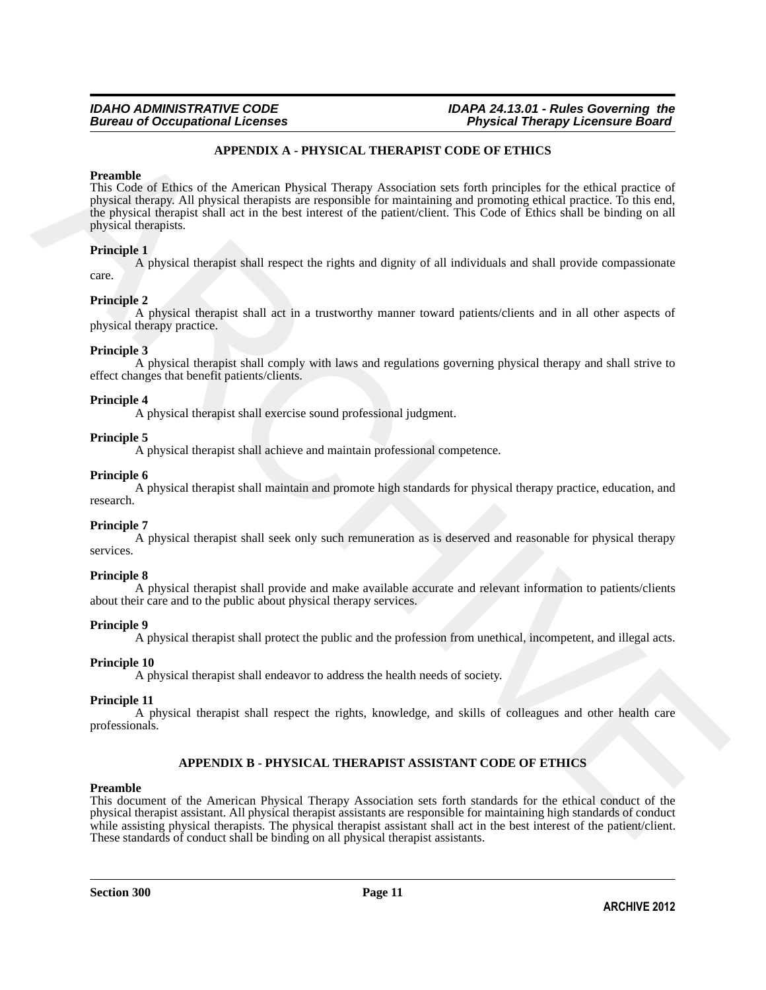#### *IDAHO ADMINISTRATIVE CODE IDAPA 24.13.01 - Rules Governing the* **Physical Therapy Licensure Board**

#### <span id="page-10-0"></span>**APPENDIX A - PHYSICAL THERAPIST CODE OF ETHICS**

#### **Preamble**

**Promotion** of **PPENISY (ALTERNATION CALCED)**<br>
The role of Euckley of the Architecton Physical Tempel Association sets physical productions of physical properties of the probability can be the properties of the probabilit This Code of Ethics of the American Physical Therapy Association sets forth principles for the ethical practice of physical therapy. All physical therapists are responsible for maintaining and promoting ethical practice. To this end, the physical therapist shall act in the best interest of the patient/client. This Code of Ethics shall be binding on all physical therapists.

#### **Principle 1**

A physical therapist shall respect the rights and dignity of all individuals and shall provide compassionate care.

#### **Principle 2**

A physical therapist shall act in a trustworthy manner toward patients/clients and in all other aspects of physical therapy practice.

#### **Principle 3**

A physical therapist shall comply with laws and regulations governing physical therapy and shall strive to effect changes that benefit patients/clients.

#### **Principle 4**

A physical therapist shall exercise sound professional judgment.

#### **Principle 5**

A physical therapist shall achieve and maintain professional competence.

#### **Principle 6**

A physical therapist shall maintain and promote high standards for physical therapy practice, education, and research.

#### **Principle 7**

A physical therapist shall seek only such remuneration as is deserved and reasonable for physical therapy services.

#### **Principle 8**

A physical therapist shall provide and make available accurate and relevant information to patients/clients about their care and to the public about physical therapy services.

#### **Principle 9**

A physical therapist shall protect the public and the profession from unethical, incompetent, and illegal acts.

#### **Principle 10**

A physical therapist shall endeavor to address the health needs of society.

#### **Principle 11**

A physical therapist shall respect the rights, knowledge, and skills of colleagues and other health care professionals.

#### <span id="page-10-1"></span>**APPENDIX B - PHYSICAL THERAPIST ASSISTANT CODE OF ETHICS**

## **Preamble**

This document of the American Physical Therapy Association sets forth standards for the ethical conduct of the physical therapist assistant. All physical therapist assistants are responsible for maintaining high standards of conduct while assisting physical therapists. The physical therapist assistant shall act in the best interest of the patient/client. These standards of conduct shall be binding on all physical therapist assistants.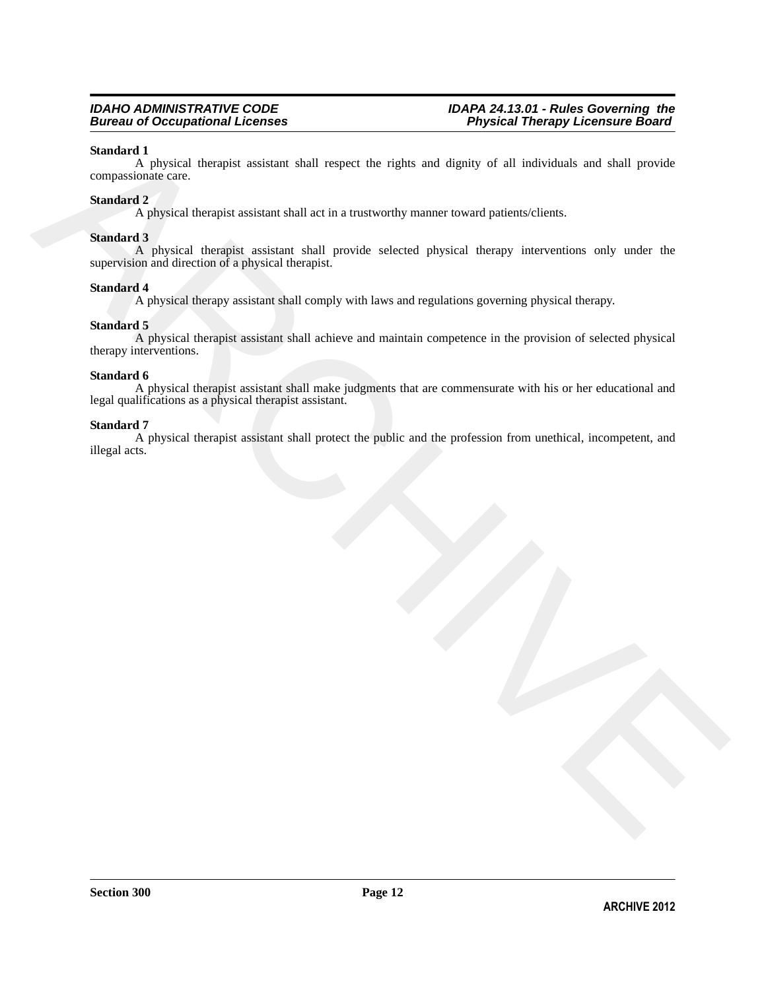#### **Standard 1**

**Shandard** 1<br>
1 physical freespics assigned shall respect the rights and dignity of all individuals and shall provide<br>
compositions (2)<br> **A physical therapies assigned assigned assigned as in a transvectivy parameter towa** A physical therapist assistant shall respect the rights and dignity of all individuals and shall provide compassionate care.

#### **Standard 2**

A physical therapist assistant shall act in a trustworthy manner toward patients/clients.

#### **Standard 3**

A physical therapist assistant shall provide selected physical therapy interventions only under the supervision and direction of a physical therapist.

#### **Standard 4**

A physical therapy assistant shall comply with laws and regulations governing physical therapy.

#### **Standard 5**

A physical therapist assistant shall achieve and maintain competence in the provision of selected physical therapy interventions.

#### **Standard 6**

A physical therapist assistant shall make judgments that are commensurate with his or her educational and legal qualifications as a physical therapist assistant.

#### **Standard 7**

A physical therapist assistant shall protect the public and the profession from unethical, incompetent, and illegal acts.